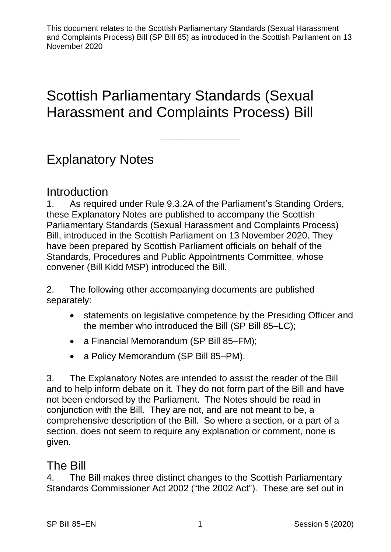————————————————————

# Scottish Parliamentary Standards (Sexual Harassment and Complaints Process) Bill

## Explanatory Notes

#### Introduction

1. As required under Rule 9.3.2A of the Parliament's Standing Orders, these Explanatory Notes are published to accompany the Scottish Parliamentary Standards (Sexual Harassment and Complaints Process) Bill, introduced in the Scottish Parliament on 13 November 2020. They have been prepared by Scottish Parliament officials on behalf of the Standards, Procedures and Public Appointments Committee, whose convener (Bill Kidd MSP) introduced the Bill.

2. The following other accompanying documents are published separately:

- statements on legislative competence by the Presiding Officer and the member who introduced the Bill (SP Bill 85–LC);
- a Financial Memorandum (SP Bill 85–FM);
- a Policy Memorandum (SP Bill 85–PM).

3. The Explanatory Notes are intended to assist the reader of the Bill and to help inform debate on it. They do not form part of the Bill and have not been endorsed by the Parliament. The Notes should be read in conjunction with the Bill. They are not, and are not meant to be, a comprehensive description of the Bill. So where a section, or a part of a section, does not seem to require any explanation or comment, none is given.

### The Bill

4. The Bill makes three distinct changes to the Scottish Parliamentary Standards Commissioner Act 2002 ("the 2002 Act"). These are set out in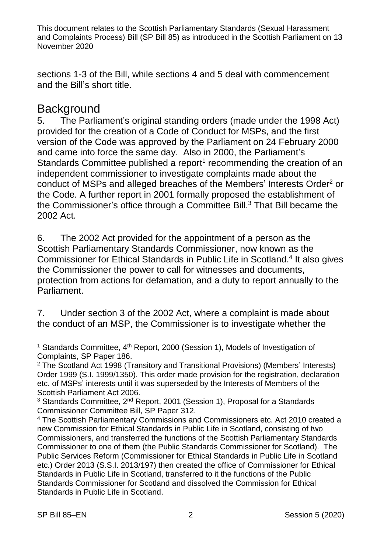sections 1-3 of the Bill, while sections 4 and 5 deal with commencement and the Bill's short title.

## **Background**

5. The Parliament's original standing orders (made under the 1998 Act) provided for the creation of a Code of Conduct for MSPs, and the first version of the Code was approved by the Parliament on 24 February 2000 and came into force the same day. Also in 2000, the Parliament's Standards Committee published a report<sup>1</sup> recommending the creation of an independent commissioner to investigate complaints made about the conduct of MSPs and alleged breaches of the Members' Interests Order<sup>2</sup> or the Code. A further report in 2001 formally proposed the establishment of the Commissioner's office through a Committee Bill.<sup>3</sup> That Bill became the 2002 Act.

6. The 2002 Act provided for the appointment of a person as the Scottish Parliamentary Standards Commissioner, now known as the Commissioner for Ethical Standards in Public Life in Scotland.<sup>4</sup> It also gives the Commissioner the power to call for witnesses and documents, protection from actions for defamation, and a duty to report annually to the Parliament.

7. Under section 3 of the 2002 Act, where a complaint is made about the conduct of an MSP, the Commissioner is to investigate whether the

<sup>&</sup>lt;u>.</u> <sup>1</sup> Standards Committee, 4<sup>th</sup> Report, 2000 (Session 1), Models of Investigation of Complaints, SP Paper 186.

<sup>2</sup> The Scotland Act 1998 (Transitory and Transitional Provisions) (Members' Interests) Order 1999 (S.I. 1999/1350). This order made provision for the registration, declaration etc. of MSPs' interests until it was superseded by the Interests of Members of the Scottish Parliament Act 2006.

<sup>&</sup>lt;sup>3</sup> Standards Committee, 2<sup>nd</sup> Report, 2001 (Session 1), Proposal for a Standards Commissioner Committee Bill, SP Paper 312.

<sup>4</sup> The Scottish Parliamentary Commissions and Commissioners etc. Act 2010 created a new Commission for Ethical Standards in Public Life in Scotland, consisting of two Commissioners, and transferred the functions of the Scottish Parliamentary Standards Commissioner to one of them (the Public Standards Commissioner for Scotland). The Public Services Reform (Commissioner for Ethical Standards in Public Life in Scotland etc.) Order 2013 (S.S.I. 2013/197) then created the office of Commissioner for Ethical Standards in Public Life in Scotland, transferred to it the functions of the Public Standards Commissioner for Scotland and dissolved the Commission for Ethical Standards in Public Life in Scotland.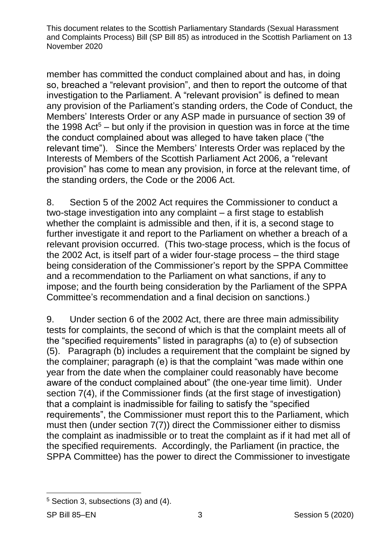member has committed the conduct complained about and has, in doing so, breached a "relevant provision", and then to report the outcome of that investigation to the Parliament. A "relevant provision" is defined to mean any provision of the Parliament's standing orders, the Code of Conduct, the Members' Interests Order or any ASP made in pursuance of section 39 of the 1998 Act<sup>5</sup> – but only if the provision in question was in force at the time the conduct complained about was alleged to have taken place ("the relevant time"). Since the Members' Interests Order was replaced by the Interests of Members of the Scottish Parliament Act 2006, a "relevant provision" has come to mean any provision, in force at the relevant time, of the standing orders, the Code or the 2006 Act.

8. Section 5 of the 2002 Act requires the Commissioner to conduct a two-stage investigation into any complaint – a first stage to establish whether the complaint is admissible and then, if it is, a second stage to further investigate it and report to the Parliament on whether a breach of a relevant provision occurred. (This two-stage process, which is the focus of the 2002 Act, is itself part of a wider four-stage process – the third stage being consideration of the Commissioner's report by the SPPA Committee and a recommendation to the Parliament on what sanctions, if any to impose; and the fourth being consideration by the Parliament of the SPPA Committee's recommendation and a final decision on sanctions.)

9. Under section 6 of the 2002 Act, there are three main admissibility tests for complaints, the second of which is that the complaint meets all of the "specified requirements" listed in paragraphs (a) to (e) of subsection (5). Paragraph (b) includes a requirement that the complaint be signed by the complainer; paragraph (e) is that the complaint "was made within one year from the date when the complainer could reasonably have become aware of the conduct complained about" (the one-year time limit). Under section 7(4), if the Commissioner finds (at the first stage of investigation) that a complaint is inadmissible for failing to satisfy the "specified requirements", the Commissioner must report this to the Parliament, which must then (under section 7(7)) direct the Commissioner either to dismiss the complaint as inadmissible or to treat the complaint as if it had met all of the specified requirements. Accordingly, the Parliament (in practice, the SPPA Committee) has the power to direct the Commissioner to investigate

 $\overline{a}$ 

<sup>5</sup> Section 3, subsections (3) and (4).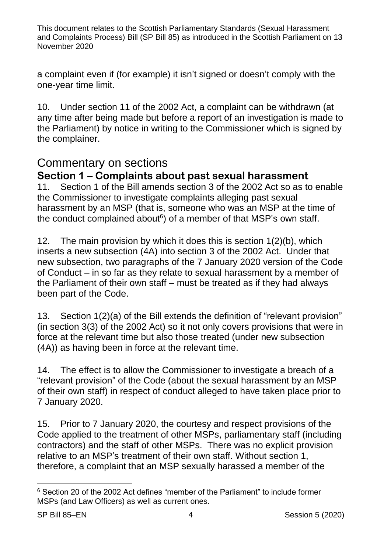a complaint even if (for example) it isn't signed or doesn't comply with the one-year time limit.

10. Under section 11 of the 2002 Act, a complaint can be withdrawn (at any time after being made but before a report of an investigation is made to the Parliament) by notice in writing to the Commissioner which is signed by the complainer.

## Commentary on sections

### **Section 1 – Complaints about past sexual harassment**

11. Section 1 of the Bill amends section 3 of the 2002 Act so as to enable the Commissioner to investigate complaints alleging past sexual harassment by an MSP (that is, someone who was an MSP at the time of the conduct complained about $6$ ) of a member of that MSP's own staff.

12. The main provision by which it does this is section 1(2)(b), which inserts a new subsection (4A) into section 3 of the 2002 Act. Under that new subsection, two paragraphs of the 7 January 2020 version of the Code of Conduct – in so far as they relate to sexual harassment by a member of the Parliament of their own staff – must be treated as if they had always been part of the Code.

13. Section 1(2)(a) of the Bill extends the definition of "relevant provision" (in section 3(3) of the 2002 Act) so it not only covers provisions that were in force at the relevant time but also those treated (under new subsection (4A)) as having been in force at the relevant time.

14. The effect is to allow the Commissioner to investigate a breach of a "relevant provision" of the Code (about the sexual harassment by an MSP of their own staff) in respect of conduct alleged to have taken place prior to 7 January 2020.

15. Prior to 7 January 2020, the courtesy and respect provisions of the Code applied to the treatment of other MSPs, parliamentary staff (including contractors) and the staff of other MSPs. There was no explicit provision relative to an MSP's treatment of their own staff. Without section 1, therefore, a complaint that an MSP sexually harassed a member of the

<sup>-</sup><sup>6</sup> Section 20 of the 2002 Act defines "member of the Parliament" to include former MSPs (and Law Officers) as well as current ones.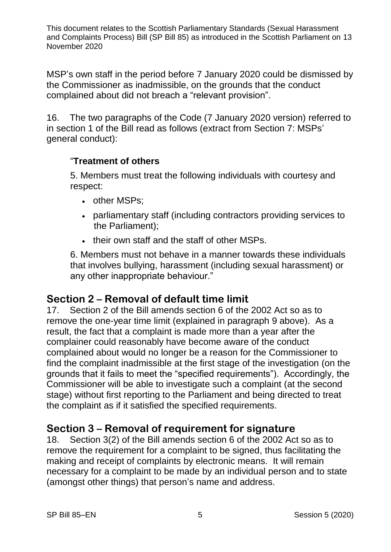MSP's own staff in the period before 7 January 2020 could be dismissed by the Commissioner as inadmissible, on the grounds that the conduct complained about did not breach a "relevant provision".

16. The two paragraphs of the Code (7 January 2020 version) referred to in section 1 of the Bill read as follows (extract from Section 7: MSPs' general conduct):

#### "**Treatment of others**

5. Members must treat the following individuals with courtesy and respect:

- other MSPs;
- parliamentary staff (including contractors providing services to the Parliament);
- their own staff and the staff of other MSPs.

6. Members must not behave in a manner towards these individuals that involves bullying, harassment (including sexual harassment) or any other inappropriate behaviour."

#### **Section 2 – Removal of default time limit**

17. Section 2 of the Bill amends section 6 of the 2002 Act so as to remove the one-year time limit (explained in paragraph 9 above). As a result, the fact that a complaint is made more than a year after the complainer could reasonably have become aware of the conduct complained about would no longer be a reason for the Commissioner to find the complaint inadmissible at the first stage of the investigation (on the grounds that it fails to meet the "specified requirements"). Accordingly, the Commissioner will be able to investigate such a complaint (at the second stage) without first reporting to the Parliament and being directed to treat the complaint as if it satisfied the specified requirements.

#### **Section 3 – Removal of requirement for signature**

18. Section 3(2) of the Bill amends section 6 of the 2002 Act so as to remove the requirement for a complaint to be signed, thus facilitating the making and receipt of complaints by electronic means. It will remain necessary for a complaint to be made by an individual person and to state (amongst other things) that person's name and address.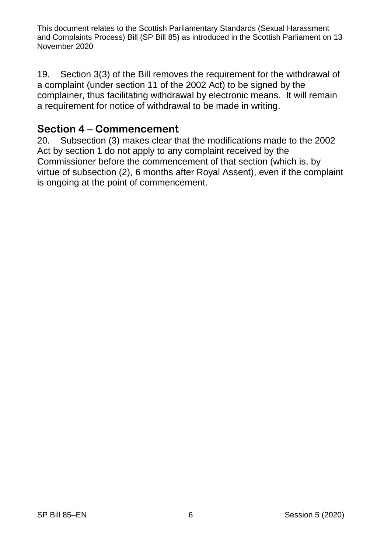19. Section 3(3) of the Bill removes the requirement for the withdrawal of a complaint (under section 11 of the 2002 Act) to be signed by the complainer, thus facilitating withdrawal by electronic means. It will remain a requirement for notice of withdrawal to be made in writing.

#### **Section 4 – Commencement**

20. Subsection (3) makes clear that the modifications made to the 2002 Act by section 1 do not apply to any complaint received by the Commissioner before the commencement of that section (which is, by virtue of subsection (2), 6 months after Royal Assent), even if the complaint is ongoing at the point of commencement.